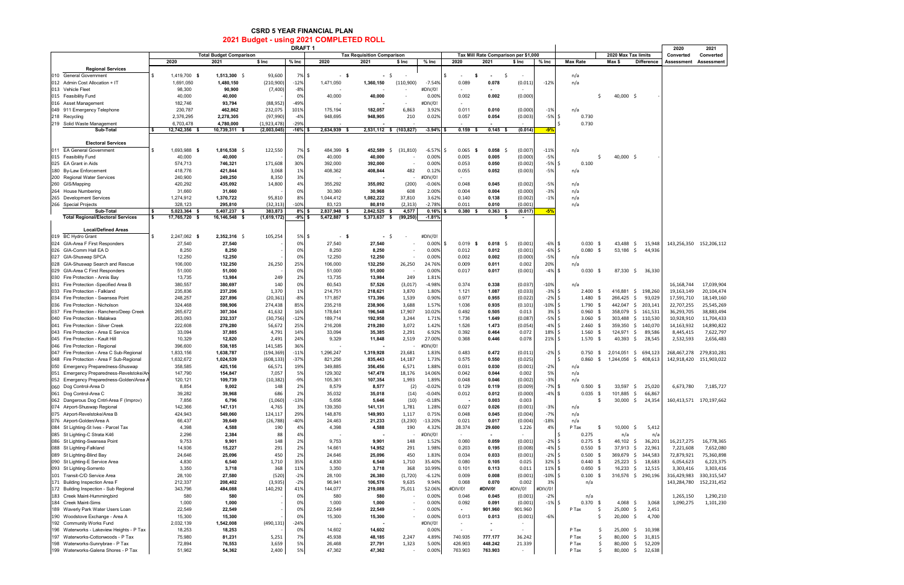## **CSRD 5 YEAR FINANCIAL PLAN 2021 Budget - using 2021 COMPLETED ROLL**

| 2021 Budget - using 2021 COMPLETED ROLL<br><b>DRAFT1</b><br>2020 |                                                                             |                                  |                                |                        |               |                           |                                   |                          |                    |                                   | 2021                                 |                                 |              |                 |            |                      |                      |             |                         |
|------------------------------------------------------------------|-----------------------------------------------------------------------------|----------------------------------|--------------------------------|------------------------|---------------|---------------------------|-----------------------------------|--------------------------|--------------------|-----------------------------------|--------------------------------------|---------------------------------|--------------|-----------------|------------|----------------------|----------------------|-------------|-------------------------|
|                                                                  |                                                                             |                                  | <b>Total Budget Comparison</b> |                        |               |                           | <b>Tax Requisition Comparison</b> |                          |                    |                                   | Tax Mill Rate Comparison per \$1,000 |                                 |              |                 |            | 2020 Max Tax limits  |                      | Converted   | Converted               |
|                                                                  |                                                                             | 2020                             | 2021                           | \$ Inc                 | $%$ Inc       | 2020                      | 2021                              | \$ Inc                   | $%$ Inc            | 2020                              | 2021                                 | \$ Inc                          | % Inc        | <b>Max Rate</b> |            | Max \$               | <b>Difference</b>    | Assessment  | <b>Assessment</b>       |
|                                                                  | <b>Regional Services</b>                                                    |                                  |                                |                        |               |                           |                                   |                          |                    |                                   |                                      |                                 |              |                 |            |                      |                      |             |                         |
|                                                                  | 010 General Government                                                      | 1,419,700 \$                     | $1,513,300$ \$                 | 93,600                 | 7% \$         | - \$                      | $-5$                              |                          |                    | $\sim$                            | - \$<br>$\blacksquare$               | -S<br>$\overline{\phantom{a}}$  |              | n/a             |            |                      |                      |             |                         |
|                                                                  | 012 Admin Cost Allocation + IT                                              | 1,691,050                        | 1,480,150                      | (210,900)              | $-12%$        | 1,471,050                 | 1,360,150                         | (110,900)                | $-7.54%$           | 0.089                             | 0.078                                | (0.011)                         | $-12%$       | n/a             |            |                      |                      |             |                         |
|                                                                  | 013 Vehicle Fleet<br>015 Feasibility Fund                                   | 98,300<br>40,000                 | 90,900<br>40,000               | (7,400)                | $-8%$<br>0%   | 40,000                    | 40,000                            |                          | #DIV/0!<br>0.00%   | 0.002                             | 0.002                                | (0.000)                         |              |                 | Ŝ.         | 40,000 \$            |                      |             |                         |
|                                                                  | 016 Asset Management                                                        | 182,746                          | 93,794                         | (88, 952)              | $-49%$        |                           |                                   |                          | #DIV/0!            | $\blacksquare$                    |                                      |                                 |              |                 |            |                      |                      |             |                         |
|                                                                  | 049 911 Emergency Telephone                                                 | 230,787                          | 462,862                        | 232,075                | 101%          | 175,194                   | 182,057                           | 6,863                    | 3.92%              | 0.011                             | 0.010                                | (0.000)                         | $-1%$        | n/a             |            |                      |                      |             |                         |
|                                                                  | 218 Recycling                                                               | 2,376,295                        | 2,278,305                      | (97, 990)              | $-4%$         | 948,695                   | 948,905                           | 210                      | 0.02%              | 0.057                             | 0.054                                | (0.003)                         | $-5%$        | - Ś<br>0.730    |            |                      |                      |             |                         |
|                                                                  | 219 Solid Waste Management                                                  | 6,703,478                        | 4,780,000                      | (1,923,478)            | $-29%$        |                           |                                   |                          |                    |                                   |                                      |                                 |              | -Ś<br>0.730     |            |                      |                      |             |                         |
|                                                                  | Sub-Total                                                                   | s.<br>12,742,356 \$              | 10,739,311 \$                  | (2,003,045)            | $-16%$        | 2,634,939 \$              |                                   | 2,531,112 \$ (103,827)   | $-3.94%$           | 0.159                             | $0.145$ \$                           | (0.014)                         | -9%          |                 |            |                      |                      |             |                         |
|                                                                  |                                                                             |                                  |                                |                        |               |                           |                                   |                          |                    |                                   |                                      |                                 |              |                 |            |                      |                      |             |                         |
|                                                                  | <b>Electoral Services</b><br><b>EA General Government</b>                   | \$<br>- \$                       |                                |                        | 7% \$         | 484,399 \$                |                                   |                          | $-6.57\%$ \$       | 0.065                             | 0.058<br>- 9<br>-S                   | (0.007)                         | $-11%$       |                 |            |                      |                      |             |                         |
| 011                                                              | 015 Feasibility Fund                                                        | 1,693,988<br>40,000              | $1,816,538$ \$<br>40,000       | 122,550                | 0%            | 40,000                    | 452,589<br>40,000                 | (31, 810)<br>-\$         | 0.00%              | 0.005                             | 0.005                                | (0.000)                         | $-5%$        | n/a             |            | 40,000 \$            |                      |             |                         |
|                                                                  | 025 EA Grant in Aids                                                        | 574,713                          | 746,321                        | 171,608                | 30%           | 392,000                   | 392,000                           |                          | 0.00%              | 0.053                             | 0.050                                | (0.002)                         | $-5\%$ \$    | 0.100           |            |                      |                      |             |                         |
|                                                                  | 180 By-Law Enforcement                                                      | 418,776                          | 421,844                        | 3,068                  | 1%            | 408,362                   | 408,844                           | 482                      | 0.12%              | 0.055                             | 0.052                                | (0.003)                         | $-5%$        | n/a             |            |                      |                      |             |                         |
|                                                                  | 200 Regional Water Services                                                 | 240,900                          | 249,250                        | 8,350                  | 3%            |                           |                                   |                          | #DIV/0!            | $\sim$                            |                                      |                                 |              |                 |            |                      |                      |             |                         |
|                                                                  | 260 GIS/Mapping                                                             | 420,292                          | 435,092                        | 14,800                 | 4%            | 355,292                   | 355,092                           | (200)                    | $-0.06%$           | 0.048                             | 0.045                                | (0.002)                         | $-5%$        | n/a             |            |                      |                      |             |                         |
|                                                                  | 264 House Numbering                                                         | 31,660                           | 31,660                         |                        | 0%            | 30,360                    | 30,968                            | 608                      | 2.00%              | 0.004                             | 0.004                                | (0.000)                         | $-3%$        | n/a             |            |                      |                      |             |                         |
|                                                                  | 265 Development Services                                                    | 1,274,912                        | 1,370,722                      | 95,810                 | 8%            | 1,044,412                 | 1,082,222                         | 37,810                   | 3.62%              | 0.140                             | 0.138                                | (0.002)                         | $-1%$        | n/a             |            |                      |                      |             |                         |
|                                                                  | 266 Special Projects                                                        | 328,123                          | 295,810                        | (32, 313)              | $-10%$        | 83,123                    | 80,810                            | (2, 313)                 | $-2.78%$           | 0.011                             | 0.010                                | (0.001)                         |              | n/a             |            |                      |                      |             |                         |
|                                                                  | Sub-Total<br><b>Total Regional/Electoral Services</b>                       | 5,023,364<br>17,765,720 \$<br>Ŝ. | 5,407,237<br>16,146,548 \$     | 383,873<br>(1,619,172) | 8%<br>-9%     | 2,837,948<br>5,472,887 \$ | 2,842,525<br>5,373,637 \$         | 4,577<br>(99, 250)       | 0.16%<br>$-1.81%$  | 0.380                             | 0.363                                | (0.017)<br>s.<br>$\blacksquare$ | $-5%$        |                 |            |                      |                      |             |                         |
|                                                                  |                                                                             |                                  |                                |                        |               |                           |                                   |                          |                    |                                   |                                      |                                 |              |                 |            |                      |                      |             |                         |
|                                                                  | <b>Local/Defined Areas</b>                                                  |                                  |                                |                        |               |                           |                                   |                          |                    |                                   |                                      |                                 |              |                 |            |                      |                      |             |                         |
|                                                                  | 019 BC Hydro Grant                                                          | 2,247,062<br>- 9                 | 2,352,316 \$                   | 105,254                | 5%            | $\mathbf{s}$<br>- \$      | $\sim$                            | -\$                      | #DIV/0!            |                                   |                                      |                                 |              |                 |            |                      |                      |             |                         |
|                                                                  | 024 GIA-Area F First Responders                                             | 27,540                           | 27,540                         |                        | 0%            | 27,540                    | 27,540                            | $\overline{\phantom{a}}$ | 0.00%              | 0.019                             | 0.018<br>- S                         | (0.001)                         | $-6\%$ \$    |                 | $0.030$ \$ | 43,488               | \$<br>15,948         |             | 143,256,350 152,206,112 |
|                                                                  | 026 GIA-Comm Hall EA D                                                      | 8,250                            | 8,250                          |                        | 0%            | 8,250                     | 8,250                             | $\overline{\phantom{a}}$ | 0.00%              | 0.012                             | 0.012                                | (0.001)                         | $-6\%$ \$    | 0.080           | - \$       | $53,186$ \$          | 44,936               |             |                         |
|                                                                  | 027 GIA-Shuswap SPCA                                                        | 12,250                           | 12,250                         |                        | 0%            | 12,250                    | 12,250                            |                          | 0.00%              | 0.002                             | 0.002                                | (0.000)                         | $-5%$        | n/a             |            |                      |                      |             |                         |
|                                                                  | 028 GIA-Shuswap Search and Rescue                                           | 106,000                          | 132,250                        | 26,250                 | 25%           | 106,000                   | 132,250                           | 26,250                   | 24.76%             | 0.009                             | 0.011                                | 0.002                           | 20%          | n/a             |            |                      |                      |             |                         |
|                                                                  | 029 GIA-Area C First Responders<br>030 Fire Protection - Annis Bay          | 51,000<br>13,735                 | 51,000<br>13,984               | 249                    | 0%<br>2%      | 51,000<br>13,735          | 51,000<br>13,984                  | 249                      | 0.00%<br>1.81%     | 0.017                             | 0.017                                | (0.001)                         | $-4\%$ \$    | 0.030           | - \$       |                      | 87,330 \$ 36,330     |             |                         |
|                                                                  | 031 Fire Protection - Specified Area B                                      | 380,557                          | 380,697                        | 140                    | 0%            | 60,543                    | 57,526                            | (3,017)                  | $-4.98%$           | 0.374                             | 0.338                                | (0.037)                         | -10%         | n/a             |            |                      |                      | 16,168,744  | 17,039,904              |
|                                                                  | 033 Fire Protection - Falkland                                              | 235,836                          | 237,206                        | 1,370                  | 1%            | 214,751                   | 218,621                           | 3,870                    | 1.80%              | 1.121                             | 1.087                                | (0.033)                         | $-3\%$ \$    | 2.400           | - \$       | 416,881              | \$198,260            | 19,163,149  | 20,104,474              |
|                                                                  | 034 Fire Protection - Swansea Point                                         | 248,257                          | 227,896                        | (20, 361)              | $-8%$         | 171,857                   | 173,396                           | 1,539                    | 0.90%              | 0.977                             | 0.955                                | (0.022)                         | $-2\%$ \$    | 1.480           | - \$       | 266,425              | \$<br>93,029         | 17,591,710  | 18,149,160              |
|                                                                  | 036 Fire Protection - Nicholson                                             | 324,468                          | 598,906                        | 274,438                | 85%           | 235,218                   | 238,906                           | 3,688                    | 1.57%              | 1.036                             | 0.935                                | (0.101)                         | $-10\%$ \$   |                 | 1.790 \$   | 442,047              | \$203,141            | 22,707,255  | 25,545,269              |
|                                                                  | 037 Fire Protection - Ranchero/Deep Creek                                   | 265,672                          | 307,304                        | 41,632                 | 16%           | 178,641                   | 196,548                           | 17,907                   | 10.02%             | 0.492                             | 0.505                                | 0.013                           | 3%5          |                 | $0.960$ \$ |                      | 358,079 \$ 161,531   | 36,293,705  | 38,883,494              |
|                                                                  | 040 Fire Protection - Malakwa                                               | 263,093                          | 232,337                        | (30, 756)              | $-12%$        | 189,714                   | 192,958                           | 3,244                    | 1.71%              | 1.736                             | 1.649                                | (0.087)                         | $-5%$ \$     |                 | $3.060$ \$ | 303,488              | \$110,530            | 10,928,910  | 11,704,433              |
|                                                                  | 041 Fire Protection - Silver Creek                                          | 222,608                          | 279,280                        | 56,672                 | 25%           | 216,208                   | 219,280                           | 3,072                    | 1.42%              | 1.526                             | 1.473                                | (0.054)                         | $-4\%$ \$    |                 | $2.460$ \$ | 359,350              | \$<br>140,070        | 14,163,932  | 14,890,822              |
|                                                                  | 043 Fire Protection - Area E Service                                        | 33,094                           | 37,885                         | 4,791                  | 14%           | 33,094                    | 35,385                            | 2,291                    | 6.92%              | 0.392                             | 0.464                                | 0.072                           | 18% \$       |                 | $1.560$ \$ | 124,971 \$           | 89,586               | 8,445,415   | 7,622,797               |
|                                                                  | 045 Fire Protection - Kault Hill                                            | 10,329                           | 12,820                         | 2,491                  | 24%           | 9,329                     | 11,848                            | 2,519                    | 27.00%             | 0.368                             | 0.446                                | 0.078                           | $21\%$ \$    |                 | $1.570$ \$ | $40,393 \quad $$     | 28,545               | 2,532,593   | 2,656,483               |
|                                                                  | 046 Fire Protection - Regional<br>047 Fire Protection - Area C Sub-Regional | 396,600<br>1,833,156             | 538,185<br>1,638,787           | 141,585<br>(194, 369)  | 36%<br>$-11%$ | 1,296,247                 | 1,319,928                         | 23,681                   | #DIV/0!<br>1.83%   | 0.483                             | 0.472                                | (0.011)                         | $-2\%$ \$    | 0.750           | - \$       | 2,014,051 \$ 694,123 |                      | 268,467,278 | 279.810.281             |
|                                                                  | 048 Fire Protection - Area F Sub-Regional                                   | 1,632,672                        | 1,024,539                      | (608, 133)             | $-37%$        | 821,256                   | 835,443                           | 14,187                   | 1.73%              | 0.575                             | 0.550                                | (0.025)                         |              | - Ś<br>0.860    |            | $$1,244,056$ \$      | 408,613              |             | 142,918,420 151,903,022 |
|                                                                  | 050 Emergency Preparedness-Shuswap                                          | 358,585                          | 425,156                        | 66,571                 | 19%           | 349,885                   | 356,456                           | 6,571                    | 1.88%              | 0.031                             | 0.030                                | (0.001)                         | $-2%$        | n/a             |            |                      |                      |             |                         |
|                                                                  | 051 Emergency Preparedness-Revelstoke/Ar                                    | 147,790                          | 154,847                        | 7,057                  | 5%            | 129,302                   | 147,478                           | 18,176                   | 14.06%             | 0.042                             | 0.044                                | 0.002                           | 5%           | n/a             |            |                      |                      |             |                         |
|                                                                  | 052 Emergency Preparedness-Golden/Area /                                    | 120,121                          | 109,739                        | (10, 382)              | $-9%$         | 105,361                   | 107,354                           | 1,993                    | 1.89%              | 0.048                             | 0.046                                | (0.002)                         | $-3%$        | n/a             |            |                      |                      |             |                         |
|                                                                  | 060 Dog Control-Area D                                                      | 8,854                            | 9,002                          | 148                    | 2%            | 8,579                     | 8,577                             | (2)                      | $-0.02%$           | 0.129                             | 0.119                                | (0.009)                         | $-7%$ \$     |                 | $0.500$ \$ | 33,597               | 25,020<br>-S         | 6,673,780   | 7,185,727               |
|                                                                  | 061 Dog Control-Area C                                                      | 39,282                           | 39,968                         | 686                    | 2%            | 35,032                    | 35,018                            | (14)                     | $-0.04%$           | 0.012                             | 0.012                                | (0.000)                         | $-4\%$ \$    | 0.035           | - \$       | 101,885              | 66,867<br>\$         |             |                         |
|                                                                  | 062 Dangerous Dog Cntrl-Area F (Improv)                                     | 7,856                            | 6,796                          | (1,060)                | $-13%$        | 5,656                     | 5,646                             | (10)                     | $-0.18%$           | ٠.                                | 0.003                                | 0.003                           |              |                 | - \$       | $30,000$ \$          | 24,354               |             | 160,413,571 170,197,662 |
|                                                                  | 074 Airport-Shuswap Regional                                                | 142,366                          | 147,131                        | 4,765                  | 3%            | 139,350                   | 141,131                           | 1,781                    | 1.28%              | 0.027                             | 0.026                                | (0.001)                         | $-3%$        | n/a             |            |                      |                      |             |                         |
|                                                                  | 075 Airport-Revelstoke/Area B                                               | 424,943                          | 549,060                        | 124,117                | 29%           | 148,876                   | 149,993                           | 1,117                    | 0.75%              | 0.048                             | 0.045                                | (0.004)                         | $-7%$        | n/a             |            |                      |                      |             |                         |
|                                                                  | 076 Airport-Golden/Area A<br>084 St Lighting-St Ives - Parcel Tax           | 66,437<br>4,398                  | 39,649<br>4,588                | (26, 788)<br>190       | $-40%$<br>4%  | 24,463<br>4,398           | 21,233<br>4,588                   | (3, 230)<br>190          | $-13.20%$<br>4.32% | 0.021<br>28.374                   | 0.017<br>29.600                      | (0.004)<br>1.226                | $-18%$<br>4% | n/a<br>P Tax    | -\$        | 10,000               | 5,412<br>-S          |             |                         |
|                                                                  | 085 St Lighting-C Strata K46                                                | 2,296                            | 2,384                          | 88                     | 4%            |                           |                                   |                          | #DIV/0!            | $\sim$                            | $\blacksquare$                       | $\sim$                          |              | 0.275<br>-S     |            | n/a                  | n/a                  |             |                         |
|                                                                  | 086 St Lighting-Swansea Point                                               | 9,753                            | 9,901                          | 148                    | 2%            | 9,753                     | 9,901                             | 148                      | 1.52%              | 0.060                             | 0.059                                | (0.001)                         | $-2\%$ \$    |                 | $0.275$ \$ | 46,102               | 36,201<br>-S         | 16,217,275  | 16,778,365              |
|                                                                  | 088 St Lighting-Falkland                                                    | 14,936                           | 15,227                         | 291                    | 2%            | 14,661                    | 14,952                            | 291                      | 1.98%              | 0.203                             | 0.195                                | (0.008)                         | $-4\%$ \$    |                 | $0.550$ \$ | $37,913 \quad $$     | 22,961               | 7,221,608   | 7,652,080               |
|                                                                  | 089 St Lighting-Blind Bay                                                   | 24,646                           | 25,096                         | 450                    | 2%            | 24,646                    | 25,096                            | 450                      | 1.83%              | 0.034                             | 0.033                                | (0.001)                         | $-2\%$ \$    |                 | $0.500$ \$ | 369,679              | \$<br>344,583        | 72,879,921  | 75,360,898              |
|                                                                  | 090 St Lighting-E Service Area                                              | 4,830                            | 6,540                          | 1,710                  | 35%           | 4,830                     | 6,540                             | 1,710                    | 35.40%             | 0.080                             | 0.105                                | 0.025                           | 32% \$       |                 | $0.440$ \$ | $25,223$ \$          | 18,683               | 6,054,623   | 6,223,375               |
|                                                                  | 093 St Lighting-Sorrento                                                    | 3,350                            | 3,718                          | 368                    | 11%           | 3,350                     | 3,718                             | 368                      | 10.99%             | 0.101                             | 0.113                                | 0.011                           | 11% \$       | 0.650           | - \$       | 16,233               | 12,515<br>\$         | 3,303,416   | 3,303,416               |
|                                                                  | 101 Transit-C/D Service Area                                                | 28,100                           | 27,580                         | (520                   | $-2%$         | 28,100                    | 26,380                            | (1,720)                  | $-6.12%$           | 0.009                             | 0.008                                | (0.001)                         | $-10%$       | l \$<br>0.100   | - \$       |                      | 316,576 \$ 290,196   | 316,429,983 | 330,315,547             |
|                                                                  | 171 Building Inspection Area F                                              | 212,337                          | 208,402                        | (3,935)                | $-2%$         | 96,941                    | 106,576                           | 9,635                    | 9.94%              | 0.068                             | 0.070                                | 0.002                           | 3%           |                 | n/a        |                      |                      | 143,284,780 | 152,231,452             |
|                                                                  | 172 Building Inspection - Sub Regional                                      | 343,796                          | 484,088                        | 140,292                | 41%           | 144,077                   | 219,088                           | 75,011                   | 52.06%             | #DIV/0!                           | #DIV/0!                              | #DIV/0!                         | #DIV/0!      |                 |            |                      |                      |             |                         |
|                                                                  | 183 Creek Maint-Hummingbird<br>184 Creek Maint-Sims                         | 580                              | 580                            |                        | 0%<br>0%      | 580                       | 580                               |                          | 0.00%              | 0.046                             | 0.045                                | (0.001)                         | $-2%$        |                 | n/a        |                      |                      | 1,265,150   | 1,290,210               |
|                                                                  | 189 Waverly Park Water Users Loan                                           | 1,000<br>22,549                  | 1,000<br>22,549                |                        | 0%            | 1,000<br>22,549           | 1,000<br>22,549                   |                          | 0.00%<br>0.00%     | 0.092<br>$\overline{\phantom{a}}$ | 0.091<br>901.960                     | (0.001)<br>901.960              | $-1\%$ \$    | 0.370<br>P Tax  | - \$<br>\$ | 4,068<br>25,000 \$   | 3,068<br>\$<br>2,451 | 1,090,275   | 1,101,230               |
|                                                                  | 190 Woodstove Exchange - Area A                                             | 15,300                           | 15,300                         |                        | 0%            | 15,300                    | 15,300                            |                          | 0.00%              | 0.013                             | 0.013                                | (0.001)                         | $-6%$        |                 | -Ś         | 20,000               | \$<br>4,700          |             |                         |
|                                                                  | 192 Community Works Fund                                                    | 2,032,139                        | 1,542,008                      | (490, 131)             | $-24%$        |                           |                                   |                          | #DIV/0!            | $\sim$                            | $\blacksquare$                       |                                 |              |                 |            |                      |                      |             |                         |
|                                                                  | 196 Waterworks - Lakeview Heights - P Tax                                   | 18,253                           | 18,253                         |                        | 0%            | 14,602                    | 14,602                            |                          | 0.00%              | $\overline{\phantom{a}}$          | $\blacksquare$                       | $\overline{\phantom{a}}$        |              | P Tax           | S          | 25,000               | 10,398<br>-S         |             |                         |
|                                                                  | 197 Waterworks-Cottonwoods - P Tax                                          | 75,980                           | 81,231                         | 5,251                  | 7%            | 45,938                    | 48,185                            | 2,247                    | 4.89%              | 740.935                           | 777.177                              | 36.242                          |              | P Tax           | Ś          | 80,000               | - \$<br>31,815       |             |                         |
|                                                                  | 198 Waterworks-Sunnybrae - P Tax                                            | 72,894                           | 76,553                         | 3,659                  | 5%            | 26,468                    | 27,791                            | 1,323                    | 5.00%              | 426.903                           | 448.242                              | 21.339                          |              | P Tax           | -\$        | 80,000               | \$<br>52,209         |             |                         |
|                                                                  | 199 Waterworks-Galena Shores - P Tax                                        | 51,962                           | 54,362                         | 2,400                  | 5%            | 47,362                    | 47,362                            |                          | 0.00%              | 763.903                           | 763.903                              | $\overline{\phantom{a}}$        |              | P Tax           | Ś          |                      | 80,000 \$ 32,638     |             |                         |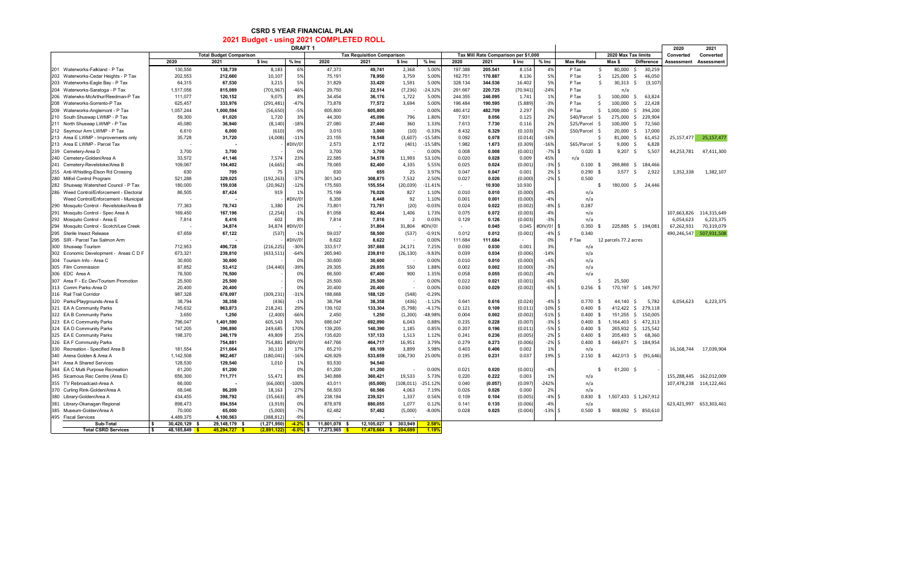| 2020      | 2021                  |
|-----------|-----------------------|
| Converted | Converted             |
|           | Assessment Assessment |

| 25,157,477 | 25,157,477 |
|------------|------------|
| 44,253,781 | 47,411,300 |
| 1.352.338  | 1.382.107  |

## **CSRD 5 YEAR FINANCIAL PLAN 2021 Budget - using 2021 COMPLETED ROLL**

|                                          |                          |                                |               | <b>DRAFT1</b>         | 2021 Budget - using 2021 COMPLETED ROLL |                       |                |              |                                      |         |         |                        |                 |                       |                       | 2020        | 2021                    |
|------------------------------------------|--------------------------|--------------------------------|---------------|-----------------------|-----------------------------------------|-----------------------|----------------|--------------|--------------------------------------|---------|---------|------------------------|-----------------|-----------------------|-----------------------|-------------|-------------------------|
|                                          |                          | <b>Total Budget Comparison</b> |               |                       | <b>Tax Requisition Comparison</b>       |                       |                |              | Tax Mill Rate Comparison per \$1,000 |         |         |                        |                 | 2020 Max Tax limits   | Converted             | Converted   |                         |
|                                          | 2020                     | 2021                           | \$ Inc        | % Inc                 | 2020                                    | 2021                  | \$ Inc         | $%$ Inc      | 2020                                 | 2021    | \$ Inc  | $%$ Inc                | <b>Max Rate</b> | Max \$                | <b>Difference</b>     | Assessment  | Assessment              |
| 201 Waterworks-Falkland - P Tax          | 130,556                  | 138,739                        | 8,183         | 6%                    | 47,373                                  | 49,741                | 2,368          | 5.00%        | 197.388                              | 205.541 | 8.154   | 4%                     | P Tax           | 80,000<br>-S          | 30,259<br>- S         |             |                         |
| 202 Waterworks-Cedar Heights - P Tax     | 202,553                  | 212,660                        | 10,107        | 5%                    | 75,191                                  | 78,950                | 3,759          | 5.00%        | 162.751                              | 170.887 | 8.136   | 5%                     | P Tax           | \$<br>125,000 \$      | 46,050                |             |                         |
| 203 Waterworks-Eagle Bay - P Tax         | 64,315                   | 67,530                         | 3,215         | 5%                    | 31,829                                  | 33,420                | 1,591          | 5.00%        | 328.134                              | 344.536 | 16.402  | 5%                     | P Tax           | Ŝ.<br>$30,313$ \$     | (3, 107)              |             |                         |
| 204 Waterworks-Saratoga - P Tax          | 1,517,056                | 815,089                        | (701,967      | $-46%$                | 29,750                                  | 22,514                | (7, 236)       | $-24.32%$    | 291.667                              | 220.725 | (70.941 | $-24%$                 | P Tax           | n/a                   |                       |             |                         |
| 206 Waterwks-McArthur/Reedman-P Tax      | 111,077                  | 120,152                        | 9,075         | 8%                    | 34,454                                  | 36,176                | 1,722          | 5.00%        | 244.355                              | 246.095 | 1.741   | 1%                     | P Tax           | 100,000<br>\$         | 63,824<br>- S         |             |                         |
| 208 Waterworks-Sorrento-P Tax            | 625,457                  | 333,976                        | (291, 481)    | $-47%$                | 73,878                                  | 77,572                | 3,694          | 5.00%        | 196.484                              | 190.595 | (5.889) | $-3%$                  | P Tax           | \$<br>100,000         | \$<br>22,428          |             |                         |
| 209 Waterworks-Anglemont - P Tax         | 1,057,244                | 1,000,594                      | (56, 650)     | $-5%$                 | 605,800                                 | 605,800               |                | 0.00%        | 480.412                              | 482.709 | 2.297   | 0%                     | P Tax           | \$<br>1,000,000       | \$<br>394,200         |             |                         |
| 210 South Shuswap LWMP - P Tax           | 59,300                   | 61,020                         | 1,720         | 3%                    | 44,300                                  | 45,096                | 796            | 1.80%        | 7.931                                | 8.056   | 0.125   | 2%                     | \$40/Parcel     | 275,000 \$<br>- \$    | 229,904               |             |                         |
| 211 North Shuswap LWMP - P Tax           | 45,080                   | 36,940                         | (8, 140)      | $-18%$                | 27,080                                  | 27,440                | 360            | 1.33%        | 7.613                                | 7.730   | 0.116   | 2%                     | \$25/Parcel     | - \$<br>100,000       | \$<br>72,560          |             |                         |
| 212 Seymour Arm LWMP - P Tax             | 6,610                    | 6,000                          | (610)         | $-9%$                 | 3,010                                   | 3,000                 | (10)           | $-0.33%$     | 6.432                                | 6.329   | (0.103) | $-2%$                  | \$50/Parcel     | $20,000$ \$<br>- \$   | 17,000                |             |                         |
| 213 Area E LWMP - Improvements only      | 35,728                   | 31,720                         | (4,008)       | $-11%$                | 23,155                                  | 19,548                | (3,607)        | $-15.58%$    | 0.092                                | 0.078   | (0.014) | $-16%$                 |                 | \$<br>81,000 \$       | 61,452                | 25,157,477  | 25, 157, 477            |
| 213 Area E LWMP - Parcel Tax             |                          |                                |               | DIV/0!                | 2,573                                   | 2,172                 | (401)          | $-15.58%$    | 1.982                                | 1.673   | (0.309) | $-16%$                 | \$65/Parcel \$  | 9,000                 | 6,828<br>\$           |             |                         |
| 239 Cemetery-Area D                      | 3,700                    | 3,700                          |               | 0%                    | 3,700                                   | 3,700                 |                | 0.00%        | 0.008                                | 0.008   | (0.001) | $-7%$<br>. ድ           | $0.020$ \$      |                       | 5,507<br>$9,207$ \$   | 44,253,781  | 47,411,300              |
| 240 Cemetery-Golden/Area A               | 33,572                   | 41,146                         | 7,574         | 23%                   | 22,585                                  | 34,578                | 11,993         | 53.10%       | 0.020                                | 0.028   | 0.009   | 45%                    | n/a             |                       |                       |             |                         |
| 241 Cemetery-Revelstoke/Area B           | 109,067                  | 104,402                        | (4,665)       | $-4%$                 | 78,065                                  | 82,400                | 4,335          | 5.55%        | 0.025                                | 0.024   | (0.001) | $-3%$<br>S.            | $0.100$ \$      | 266,866               | -\$<br>184,466        |             |                         |
| 255 Anti-Whistling-Elson Rd Crossing     | 630                      | 705                            | 75            | 12%                   | 630                                     | 655                   | 25             | 3.97%        | 0.047                                | 0.047   | 0.001   | 2%<br>Ŝ.               | 0.290           | - \$<br>3,577         | \$<br>2,922           | 1,352,338   | 1,382,107               |
| 280 Milfoil Control Program              | 521,288                  | 329,025                        | (192, 263)    | $-37%$                | 301,343                                 | 308,875               | 7,532          | 2.50%        | 0.027                                | 0.026   | (0.000) | $-2\%$ \$              | 0.500           |                       |                       |             |                         |
| 282 Shuswap Watershed Council - P Tax    | 180,000                  | 159,038                        | (20, 962)     | $-12%$                | 175,593                                 | 155,554               | (20, 039)      | $-11.41%$    | $\sim$                               | 10.930  | 10.930  |                        |                 | \$<br>180,000 \$      | 24,446                |             |                         |
| 286 Weed Control/Enforcement - Electoral | 86,505                   | 87,424                         | 919           | 1%                    | 75,199                                  | 76,026                | 827            | 1.10%        | 0.010                                | 0.010   | (0.000) | $-4%$                  | n/a             |                       |                       |             |                         |
| Weed Control/Enforcement - Municipal     | $\overline{\phantom{a}}$ |                                |               | #DIV/0!               | 8,356                                   | 8,448                 | 92             | 1.10%        | 0.001                                | 0.001   | (0.000) | $-4%$                  | n/a             |                       |                       |             |                         |
| 290 Mosquito Control - Revelstoke/Area B | 77,363                   | 78,743                         | 1,380         | 2%                    | 73,801                                  | 73,781                | (20)           | $-0.03%$     | 0.024                                | 0.022   | (0.002) | $-8%$<br>$\zeta$       | 0.287           |                       |                       |             |                         |
| 291 Mosquito Control - Spec Area A       | 169,450                  | 167,196                        | (2, 254)      | $-1%$                 | 81,058                                  | 82,464                | 1,406          | 1.73%        | 0.075                                | 0.072   | (0.003) | $-4%$                  | n/a             |                       |                       | 107,663,826 | 114,315,649             |
| 292 Mosquito Control - Area E            | 7,814                    | 8,416                          | 602           | 8%                    | 7,814                                   | 7,816                 | $\overline{2}$ | 0.03%        | 0.129                                | 0.126   | (0.003) | $-3%$                  | n/a             |                       |                       | 6,054,623   | 6,223,375               |
| 294 Mosquito Control - Scotch/Lee Creek  |                          | 34,874                         | 34,874        | Olv/0!                |                                         | 31,804                | 31,804         | #DIV/0!      | $\sim$                               | 0.045   | 0.045   | #DIV/0!<br>S.          | 0.350           | - \$                  | 225,885 \$ 194,081    | 67,262,931  | 70,319,079              |
| 295 Sterile Insect Release               | 67,659                   | 67,122                         | (537)         | $-1%$                 | 59,037                                  | 58,500                | (537)          | $-0.91%$     | 0.012                                | 0.012   | (0.001) | $-4%$<br><sup>\$</sup> | 0.340           |                       |                       |             | 490,246,547 507,931,508 |
| 295 SIR - Parcel Tax Salmon Arm          |                          |                                |               | #DIV/0!               | 8,622                                   | 8,622                 |                | 0.00%        | 111.684                              | 111.684 |         | 0%                     | P Tax           | 12 parcels 77.2 acres |                       |             |                         |
| 300 Shuswap Tourism                      | 712,953                  | 496,728                        | (216, 225)    | $-30%$                | 333,517                                 | 357,688               | 24,171         | 7.25%        | 0.030                                | 0.030   | 0.001   | 3%                     | n/a             |                       |                       |             |                         |
| 302 Economic Development - Areas C D F   | 673,321                  | 239,810                        | (433, 511)    | $-64%$                | 265,940                                 | 239,810               | (26, 130)      | $-9.83%$     | 0.039                                | 0.034   | (0.006) | $-14%$                 | n/a             |                       |                       |             |                         |
| 304 Tourism Info - Area C                | 30,600                   | 30,600                         |               | 0%                    | 30,600                                  | 30,600                |                | 0.00%        | 0.010                                | 0.010   | (0.000) | $-4%$                  | n/a             |                       |                       |             |                         |
| 305 Film Commission                      | 87,852                   | 53,412                         | (34, 440)     | $-39%$                | 29,305                                  | 29,855                | 550            | 1.88%        | 0.002                                | 0.002   | (0.000) | $-3%$                  | n/a             |                       |                       |             |                         |
| 306 EDC Area A                           | 76,500                   | 76,500                         |               | 0%                    | 66,500                                  | 67,400                | 900            | 1.35%        | 0.058                                | 0.055   | (0.002) | $-4%$                  | n/a             |                       |                       |             |                         |
| 307 Area F - Ec Dev/Tourism Promotion    | 25,500                   | 25,500                         |               | 0%                    | 25,500                                  | 25,500                |                | 0.00%        | 0.022                                | 0.021   | (0.001) | $-6%$                  |                 | 25,500<br>S           |                       |             |                         |
| 313 Comm Parks-Area D                    | 20,400                   | 20,400                         |               | 0%                    | 20,400                                  | 20,400                |                | 0.00%        | 0.030                                | 0.029   | (0.002) | $-6\%$ \$              | $0.256$ \$      |                       | 170,197 \$ 149,797    |             |                         |
| 316 Rail Trail Corridor                  | 987,328                  | 678,097                        | (309, 231)    | $-31%$                | 188,668                                 | 188,120               | (548)          | $-0.29%$     |                                      |         |         |                        |                 |                       |                       |             |                         |
| 320 Parks/Playgrounds-Area E             | 38,794                   | 38,358                         | (436)         | $-1%$                 | 38,794                                  | 38,358                | (436)          | $-1.12%$     | 0.641                                | 0.616   | (0.024) | $-4\%$ \$              | $0.770$ \$      | 44,140                | - \$<br>5,782         | 6,054,623   | 6,223,375               |
| 321 EA A Community Parks                 | 745,632                  | 963,873                        | 218,241       | 29%                   | 139,102                                 | 133,304               | (5, 798)       | $-4.17%$     | 0.121                                | 0.109   | (0.011) | Ŝ.<br>$-10%$           | $0.400$ \$      | 412,422 \$            | 279,118               |             |                         |
| 322 EA B Community Parks                 | 3,650                    | 1,250                          | (2, 400)      | $-66%$                | 2,450                                   | 1,250                 | (1, 200)       | -48.98%      | 0.004                                | 0.002   | (0.002) | S.<br>$-51%$           | $0.400$ \$      | 151,255               | 150,005<br>-S         |             |                         |
| 323 EA C Community Parks                 | 796,047                  | 1,401,590                      | 605,543       | 76%                   | 686,047                                 | 692,090               | 6,043          | 0.88%        | 0.235                                | 0.228   | (0.007) | $-3%$<br>Ŝ.            | $0.400$ \$      | 1,164,403             | 472,313<br>\$         |             |                         |
| 324 EA D Community Parks                 | 147,205                  | 396,890                        | 249,685       | 170%                  | 139,205                                 | 140,390               | 1,185          | 0.85%        | 0.207                                | 0.196   | (0.011) | \$<br>$-5%$            | $0.400$ \$      | 265,932 \$            | 125,542               |             |                         |
| 325 EA E Community Parks                 | 198,370                  | 248,179                        | 49,809        | 25%                   | 135,620                                 | 137,133               | 1,513          | 1.12%        | 0.241                                | 0.236   | (0.005) | $-2%$<br>Ŝ.            | $0.400$ \$      | 205,493               | 68,360<br>\$          |             |                         |
| 326 EA F Community Parks                 |                          | 754,881                        | 754,881       | DIV/0!                | 447,766                                 | 464,717               | 16,951         | 3.79%        | 0.279                                | 0.273   | (0.006) | Ŝ.<br>$-2%$            | $0.400$ \$      |                       | 649,671 \$ 184,954    |             |                         |
| 330 Recreation - Specified Area B        | 181,554                  | 211,664                        | 30,110        | 17%                   | 65,210                                  | 69,109                | 3,899          | 5.98%        | 0.403                                | 0.406   | 0.002   | 1%                     | n/a             |                       |                       | 16,168,744  | 17,039,904              |
| 340 Arena Golden & Area A                | 1,142,508                | 962,467                        | (180, 041)    | $-16%$                | 426,929                                 | 533,659               | 106,730        | 25.00%       | 0.195                                | 0.231   | 0.037   | 19%<br>S.              | 2.150           | \$                    | 442,013 \$ (91,646)   |             |                         |
| 341 Area A Shared Services               | 128,530                  | 129,540                        | 1,010         | 1%                    | 93,530                                  | 94,540                |                |              |                                      |         |         |                        |                 |                       |                       |             |                         |
| 344 EA C Multi Purpose Recreation        | 61,200                   | 61,200                         |               | 0%                    | 61,200                                  | 61,200                |                | 0.00%        | 0.021                                | 0.020   | (0.001) | -4%                    |                 | $61,200$ \$<br>\$     |                       |             |                         |
| 345 Sicamous Rec Centre (Area E)         | 656,300                  | 711,771                        | 55,471        | 8%                    | 340,888                                 | 360,421               | 19,533         | 5.73%        | 0.220                                | 0.222   | 0.003   | 1%                     | n/a             |                       |                       |             | 155,288,445 162,012,009 |
| 355 TV Rebroadcast-Area A                | 66,000                   |                                | (66,000)      | $-100%$               | 43,011                                  | (65,000)              | (108, 011)     | $-251.12%$   | 0.040                                | (0.057) | (0.097) | $-242%$                | n/a             |                       |                       |             | 107,478,238 114,122,461 |
| 370 Curling Rink-Golden/Area A           | 68,046                   | 86,209                         | 18,163        | 27%                   | 56,503                                  | 60,566                | 4,063          | 7.19%        | 0.026                                | 0.026   | 0.000   | 2%                     | n/a             |                       |                       |             |                         |
| 380 Library-Golden/Area A                | 434,455                  | 398,792                        | (35, 663)     | $-8%$                 | 238,184                                 | 239,521               | 1,337          | 0.56%        | 0.109                                | 0.104   | (0.005) | $-4\%$ \$              | 0.830           | - \$                  | 1,507,433 \$1,267,912 |             |                         |
| 381 Library-Okanagan Regional            | 898,473                  | 894,554                        | (3,919)       | 0%                    | 878,978                                 | 880,055               | 1,077          | 0.12%        | 0.141                                | 0.135   | (0.006) | -4%                    | n/a             |                       |                       |             | 623,421,997 653,303,461 |
| 385 Museum-Golden/Area A                 | 70,000                   | 65,000                         | (5,000)       | -7%                   | 62,482                                  | 57,482                | (5,000)        | $-8.00%$     | 0.028                                | 0.025   | (0.004) | $-13\%$ \$             | $0.500$ \$      |                       | 908,092 \$ 850,610    |             |                         |
| 495 Fiscal Services                      | 4,489,375                | 4,100,563                      | (388, 812)    | $-9%$                 |                                         |                       |                |              |                                      |         |         |                        |                 |                       |                       |             |                         |
| Sub-Total                                | 30,420,129 \$            | 29,148,179 \$                  | (1, 271, 950) | $-4.2\%$ \$           | 11,801,078 \$                           | 12,105,027 \$ 303,949 |                | 2.58%        |                                      |         |         |                        |                 |                       |                       |             |                         |
| <b>Total CSRD Services</b>               | 48,185,849 \$<br>\$      | 45,294,727 \$                  | (2,891,122)   | <mark>-6.0%</mark> \$ | 17,273,965 <mark>\$</mark>              | 17,478,664 \$ 204,699 |                | <b>1.19%</b> |                                      |         |         |                        |                 |                       |                       |             |                         |

|         | 107,663,826 114,315,649 |             |
|---------|-------------------------|-------------|
|         | 6,054,623               | 6,223,375   |
| 194,081 | 67,262,931              | 70,319,079  |
|         | 490,246,547             | 507,931,508 |
|         |                         |             |

| 6,054,623 | 6,223,375 |
|-----------|-----------|
|           |           |

| 16,168,744  | 17,039,904  |
|-------------|-------------|
|             |             |
| 155,288,445 | 162,012,009 |